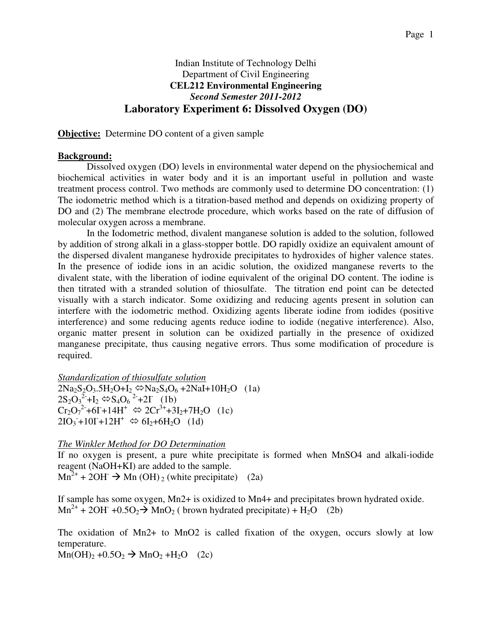# Indian Institute of Technology Delhi Department of Civil Engineering **CEL212 Environmental Engineering**  *Second Semester 2011-2012*  **Laboratory Experiment 6: Dissolved Oxygen (DO)**

**Objective:** Determine DO content of a given sample

# **Background:**

Dissolved oxygen (DO) levels in environmental water depend on the physiochemical and biochemical activities in water body and it is an important useful in pollution and waste treatment process control. Two methods are commonly used to determine DO concentration: (1) The iodometric method which is a titration-based method and depends on oxidizing property of DO and (2) The membrane electrode procedure, which works based on the rate of diffusion of molecular oxygen across a membrane.

 In the Iodometric method, divalent manganese solution is added to the solution, followed by addition of strong alkali in a glass-stopper bottle. DO rapidly oxidize an equivalent amount of the dispersed divalent manganese hydroxide precipitates to hydroxides of higher valence states. In the presence of iodide ions in an acidic solution, the oxidized manganese reverts to the divalent state, with the liberation of iodine equivalent of the original DO content. The iodine is then titrated with a stranded solution of thiosulfate. The titration end point can be detected visually with a starch indicator. Some oxidizing and reducing agents present in solution can interfere with the iodometric method. Oxidizing agents liberate iodine from iodides (positive interference) and some reducing agents reduce iodine to iodide (negative interference). Also, organic matter present in solution can be oxidized partially in the presence of oxidized manganese precipitate, thus causing negative errors. Thus some modification of procedure is required.

*Standardization of thiosulfate solution*

 $2Na_2S_2O_3.5H_2O+I_2 \Leftrightarrow Na_2S_4O_6 + 2NaI + 10H_2O$  (1a)  $2S_2O_3^2$ + $I_2 \Leftrightarrow S_4O_6^2$ +2I (1b)  $Cr_2O_7^{2+} + 6I + 14H^+ \Leftrightarrow 2Cr^{3+} + 3I_2 + 7H_2O$  (1c)  $2IO_3 + 10I + 12H^+ \Leftrightarrow 6I_2 + 6H_2O$  (1d)

# *The Winkler Method for DO Determination*

If no oxygen is present, a pure white precipitate is formed when MnSO4 and alkali-iodide reagent (NaOH+KI) are added to the sample.

 $\text{Mn}^{2+}$  + 2OH  $\rightarrow$  Mn (OH)<sub>2</sub> (white precipitate) (2a)

If sample has some oxygen, Mn2+ is oxidized to Mn4+ and precipitates brown hydrated oxide.  $Mn^{2+}$  + 2OH<sup>-</sup> +0.5O<sub>2</sub>  $\rightarrow$  MnO<sub>2</sub> (brown hydrated precipitate) + H<sub>2</sub>O (2b)

The oxidation of Mn2+ to MnO2 is called fixation of the oxygen, occurs slowly at low temperature.

 $\text{Mn(OH)}_2 + 0.5\text{O}_2 \rightarrow \text{MnO}_2 + \text{H}_2\text{O}$  (2c)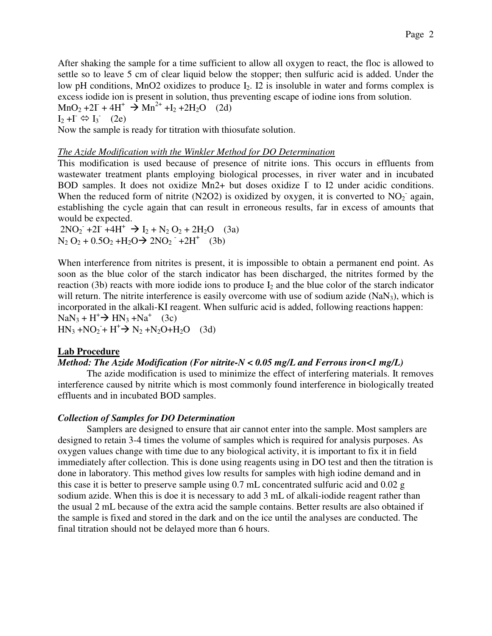After shaking the sample for a time sufficient to allow all oxygen to react, the floc is allowed to settle so to leave 5 cm of clear liquid below the stopper; then sulfuric acid is added. Under the low pH conditions, MnO2 oxidizes to produce  $I_2$ . I2 is insoluble in water and forms complex is excess iodide ion is present in solution, thus preventing escape of iodine ions from solution.  $MnO_2 + 2\Gamma + 4H^+ \rightarrow Mn^{2+} + I_2 + 2H_2O$  (2d)  $I_2 + I \Leftrightarrow I_3$  (2e) Now the sample is ready for titration with thiosufate solution.

### *The Azide Modification with the Winkler Method for DO Determination*

This modification is used because of presence of nitrite ions. This occurs in effluents from wastewater treatment plants employing biological processes, in river water and in incubated BOD samples. It does not oxidize Mn2+ but doses oxidize  $\Gamma$  to I2 under acidic conditions. When the reduced form of nitrite (N2O2) is oxidized by oxygen, it is converted to  $NO<sub>2</sub>$  again, establishing the cycle again that can result in erroneous results, far in excess of amounts that would be expected.

 $2NO_2$  +2I +4H<sup>+</sup>  $\rightarrow$  I<sub>2</sub> + N<sub>2</sub> O<sub>2</sub> + 2H<sub>2</sub>O (3a)  $N_2 O_2 + 0.5O_2 + H_2O \rightarrow 2NO_2 + 2H^+$  (3b)

When interference from nitrites is present, it is impossible to obtain a permanent end point. As soon as the blue color of the starch indicator has been discharged, the nitrites formed by the reaction (3b) reacts with more iodide ions to produce  $I_2$  and the blue color of the starch indicator will return. The nitrite interference is easily overcome with use of sodium azide  $(NaN<sub>3</sub>)$ , which is incorporated in the alkali-KI reagent. When sulfuric acid is added, following reactions happen:  $\text{NaN}_3 + \text{H}^+ \rightarrow \text{HN}_3 + \text{Na}^+$  (3c)  $HN_3 + NO_2 + H^+ \rightarrow N_2 + N_2O + H_2O$  (3d)

# **Lab Procedure**

# *Method: The Azide Modification (For nitrite-N < 0.05 mg/L and Ferrous iron<1 mg/L)*

 The azide modification is used to minimize the effect of interfering materials. It removes interference caused by nitrite which is most commonly found interference in biologically treated effluents and in incubated BOD samples.

#### *Collection of Samples for DO Determination*

 Samplers are designed to ensure that air cannot enter into the sample. Most samplers are designed to retain 3-4 times the volume of samples which is required for analysis purposes. As oxygen values change with time due to any biological activity, it is important to fix it in field immediately after collection. This is done using reagents using in DO test and then the titration is done in laboratory. This method gives low results for samples with high iodine demand and in this case it is better to preserve sample using 0.7 mL concentrated sulfuric acid and 0.02 g sodium azide. When this is doe it is necessary to add 3 mL of alkali-iodide reagent rather than the usual 2 mL because of the extra acid the sample contains. Better results are also obtained if the sample is fixed and stored in the dark and on the ice until the analyses are conducted. The final titration should not be delayed more than 6 hours.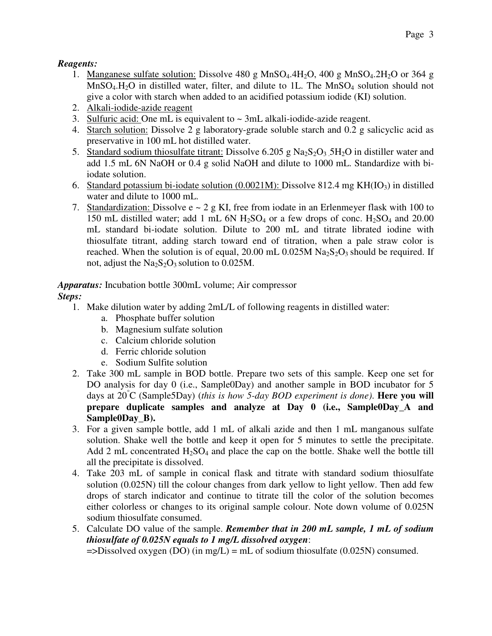# *Reagents:*

- 1. Manganese sulfate solution: Dissolve 480 g MnSO<sub>4</sub>.4H<sub>2</sub>O, 400 g MnSO<sub>4</sub>.2H<sub>2</sub>O or 364 g  $MnSO<sub>4</sub>,H<sub>2</sub>O$  in distilled water, filter, and dilute to 1L. The  $MnSO<sub>4</sub>$  solution should not give a color with starch when added to an acidified potassium iodide (KI) solution.
- 2. Alkali-iodide-azide reagent
- 3. Sulfuric acid: One mL is equivalent to  $\sim$  3mL alkali-iodide-azide reagent.
- 4. Starch solution: Dissolve 2 g laboratory-grade soluble starch and 0.2 g salicyclic acid as preservative in 100 mL hot distilled water.
- 5. Standard sodium thiosulfate titrant: Dissolve  $6.205$  g Na<sub>2</sub>S<sub>2</sub>O<sub>3</sub> 5H<sub>2</sub>O in distiller water and add 1.5 mL 6N NaOH or 0.4 g solid NaOH and dilute to 1000 mL. Standardize with biiodate solution.
- 6. Standard potassium bi-iodate solution  $(0.0021M)$ : Dissolve 812.4 mg KH(IO<sub>3</sub>) in distilled water and dilute to 1000 mL.
- 7. Standardization: Dissolve  $e \sim 2$  g KI, free from iodate in an Erlenmeyer flask with 100 to 150 mL distilled water; add 1 mL 6N  $H_2SO_4$  or a few drops of conc.  $H_2SO_4$  and 20.00 mL standard bi-iodate solution. Dilute to 200 mL and titrate librated iodine with thiosulfate titrant, adding starch toward end of titration, when a pale straw color is reached. When the solution is of equal, 20.00 mL 0.025M  $\text{Na}_2\text{S}_2\text{O}_3$  should be required. If not, adjust the  $Na<sub>2</sub>S<sub>2</sub>O<sub>3</sub>$  solution to 0.025M.

# *Apparatus:* Incubation bottle 300mL volume; Air compressor

# *Steps:*

- 1. Make dilution water by adding 2mL/L of following reagents in distilled water:
	- a. Phosphate buffer solution
	- b. Magnesium sulfate solution
	- c. Calcium chloride solution
	- d. Ferric chloride solution
	- e. Sodium Sulfite solution
- 2. Take 300 mL sample in BOD bottle. Prepare two sets of this sample. Keep one set for DO analysis for day 0 (i.e., Sample0Day) and another sample in BOD incubator for 5 days at 20°C (Sample5Day) (*this is how 5-day BOD experiment is done)*. **Here you will prepare duplicate samples and analyze at Day 0 (i.e., Sample0Day\_A and Sample0Day\_B).**
- 3. For a given sample bottle, add 1 mL of alkali azide and then 1 mL manganous sulfate solution. Shake well the bottle and keep it open for 5 minutes to settle the precipitate. Add 2 mL concentrated  $H_2SO_4$  and place the cap on the bottle. Shake well the bottle till all the precipitate is dissolved.
- 4. Take 203 mL of sample in conical flask and titrate with standard sodium thiosulfate solution (0.025N) till the colour changes from dark yellow to light yellow. Then add few drops of starch indicator and continue to titrate till the color of the solution becomes either colorless or changes to its original sample colour. Note down volume of 0.025N sodium thiosulfate consumed.
- 5. Calculate DO value of the sample. *Remember that in 200 mL sample, 1 mL of sodium thiosulfate of 0.025N equals to 1 mg/L dissolved oxygen*:

 $=$  >Dissolved oxygen (DO) (in mg/L) = mL of sodium thiosulfate (0.025N) consumed.